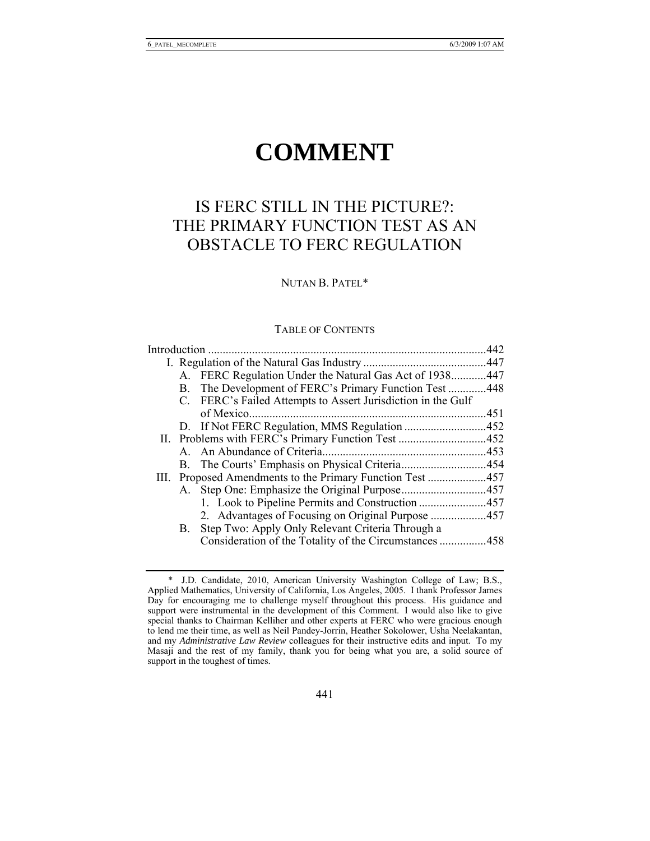# **COMMENT**

# IS FERC STILL IN THE PICTURE? THE PRIMARY FUNCTION TEST AS AN OBSTACLE TO FERC REGULATION

NUTAN B. PATEL\*

#### TABLE OF CONTENTS

| Introduction                                                 | .442 |
|--------------------------------------------------------------|------|
|                                                              |      |
| A. FERC Regulation Under the Natural Gas Act of 1938447      |      |
| The Development of FERC's Primary Function Test 448<br>В.    |      |
| C. FERC's Failed Attempts to Assert Jurisdiction in the Gulf |      |
|                                                              |      |
|                                                              |      |
| II. Problems with FERC's Primary Function Test 452           |      |
|                                                              |      |
|                                                              |      |
|                                                              |      |
| A. Step One: Emphasize the Original Purpose457               |      |
| 1. Look to Pipeline Permits and Construction 457             |      |
|                                                              |      |
| Step Two: Apply Only Relevant Criteria Through a<br>B.       |      |
|                                                              |      |
|                                                              |      |

 <sup>\*</sup> J.D. Candidate, 2010, American University Washington College of Law; B.S., Applied Mathematics, University of California, Los Angeles, 2005. I thank Professor James Day for encouraging me to challenge myself throughout this process. His guidance and support were instrumental in the development of this Comment. I would also like to give special thanks to Chairman Kelliher and other experts at FERC who were gracious enough to lend me their time, as well as Neil Pandey-Jorrin, Heather Sokolower, Usha Neelakantan, and my *Administrative Law Review* colleagues for their instructive edits and input. To my Masaji and the rest of my family, thank you for being what you are, a solid source of support in the toughest of times.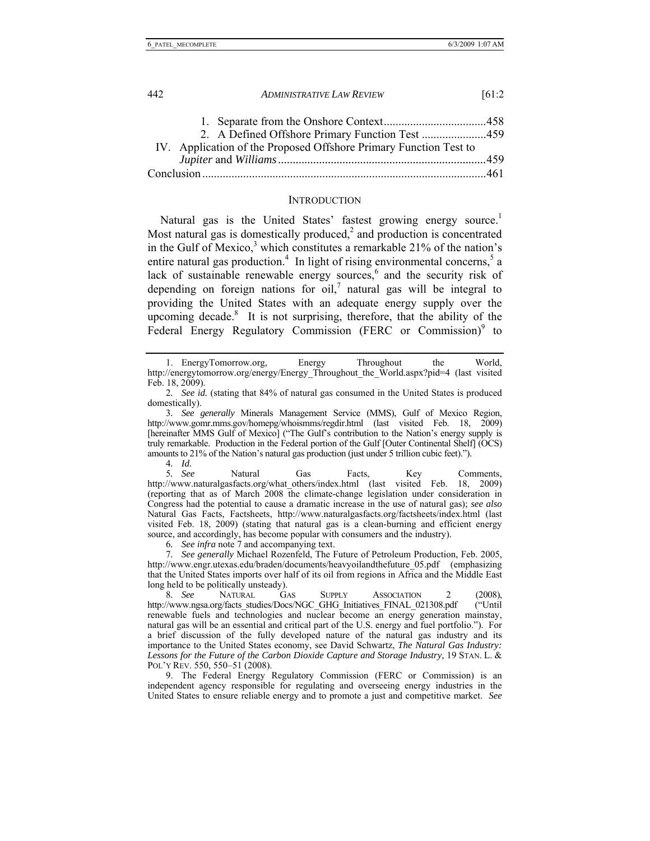| 2. A Defined Offshore Primary Function Test 459                   |  |
|-------------------------------------------------------------------|--|
| IV. Application of the Proposed Offshore Primary Function Test to |  |
|                                                                   |  |
|                                                                   |  |

#### **INTRODUCTION**

Natural gas is the United States' fastest growing energy source.<sup>1</sup> Most natural gas is domestically produced, $2$  and production is concentrated in the Gulf of Mexico,<sup>3</sup> which constitutes a remarkable 21% of the nation's entire natural gas production.<sup>4</sup> In light of rising environmental concerns,<sup>5</sup> a lack of sustainable renewable energy sources,<sup>6</sup> and the security risk of depending on foreign nations for  $\text{oil}$ , natural gas will be integral to providing the United States with an adequate energy supply over the upcoming decade.<sup>8</sup> It is not surprising, therefore, that the ability of the Federal Energy Regulatory Commission (FERC or Commission)<sup>9</sup> to

4*. Id.*

5*. See* Natural Gas Facts, Key Comments, http://www.naturalgasfacts.org/what\_others/index.html (last visited Feb. 18, 2009) (reporting that as of March 2008 the climate-change legislation under consideration in Congress had the potential to cause a dramatic increase in the use of natural gas); *see also* Natural Gas Facts, Factsheets, http://www.naturalgasfacts.org/factsheets/index.html (last visited Feb. 18, 2009) (stating that natural gas is a clean-burning and efficient energy source, and accordingly, has become popular with consumers and the industry).

6*. See infra* note 7 and accompanying text.

7*. See generally* Michael Rozenfeld, The Future of Petroleum Production, Feb. 2005, http://www.engr.utexas.edu/braden/documents/heavyoilandthefuture\_05.pdf (emphasizing that the United States imports over half of its oil from regions in Africa and the Middle East long held to be politically unsteady).

8*. See* NATURAL GAS SUPPLY ASSOCIATION 2 (2008), http://www.ngsa.org/facts\_studies/Docs/NGC\_GHG\_Initiatives\_FINAL\_021308.pdf ("Until renewable fuels and technologies and nuclear become an energy generation mainstay, natural gas will be an essential and critical part of the U.S. energy and fuel portfolio."). For a brief discussion of the fully developed nature of the natural gas industry and its importance to the United States economy, see David Schwartz, *The Natural Gas Industry: Lessons for the Future of the Carbon Dioxide Capture and Storage Industry*, 19 STAN. L. & POL'Y REV. 550, 550–51 (2008).

 9. The Federal Energy Regulatory Commission (FERC or Commission) is an independent agency responsible for regulating and overseeing energy industries in the United States to ensure reliable energy and to promote a just and competitive market. *See* 

 <sup>1.</sup> EnergyTomorrow.org, Energy Throughout the World, http://energytomorrow.org/energy/Energy\_Throughout\_the\_World.aspx?pid=4 (last visited Feb. 18, 2009).

<sup>2</sup>*. See id.* (stating that 84% of natural gas consumed in the United States is produced domestically).

<sup>3</sup>*. See generally* Minerals Management Service (MMS), Gulf of Mexico Region, http://www.gomr.mms.gov/homepg/whoismms/regdir.html (last visited Feb. 18, 2009) [hereinafter MMS Gulf of Mexico] ("The Gulf's contribution to the Nation's energy supply is truly remarkable. Production in the Federal portion of the Gulf [Outer Continental Shelf] (OCS) amounts to 21% of the Nation's natural gas production (just under 5 trillion cubic feet).").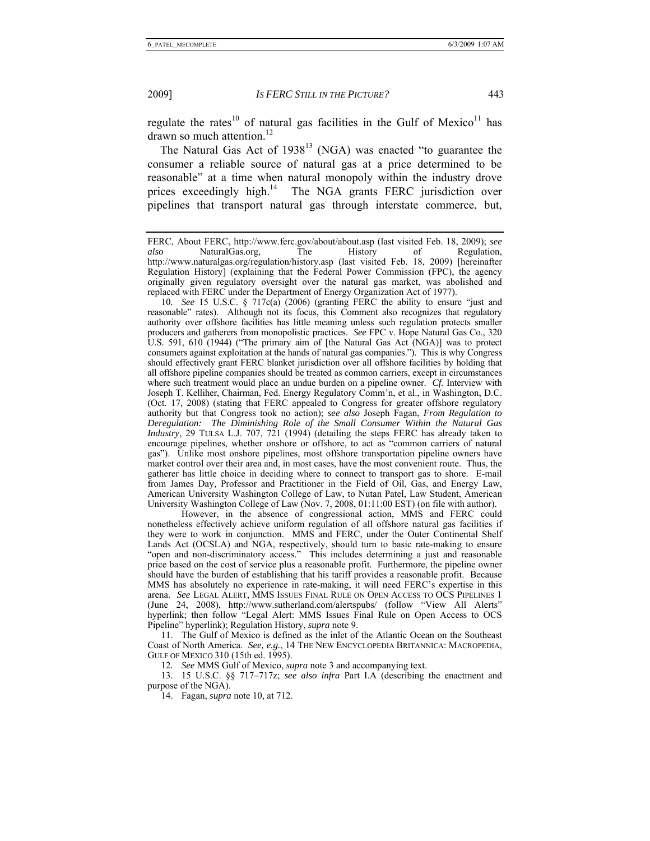regulate the rates<sup>10</sup> of natural gas facilities in the Gulf of Mexico<sup>11</sup> has  $d$ rawn so much attention.<sup>12</sup>

The Natural Gas Act of 1938<sup>13</sup> (NGA) was enacted "to guarantee the consumer a reliable source of natural gas at a price determined to be reasonable" at a time when natural monopoly within the industry drove prices exceedingly high.<sup>14</sup> The NGA grants FERC jurisdiction over pipelines that transport natural gas through interstate commerce, but,

10*. See* 15 U.S.C. § 717c(a) (2006) (granting FERC the ability to ensure "just and reasonable" rates). Although not its focus, this Comment also recognizes that regulatory authority over offshore facilities has little meaning unless such regulation protects smaller producers and gatherers from monopolistic practices. *See* FPC v. Hope Natural Gas Co., 320 U.S. 591, 610 (1944) ("The primary aim of [the Natural Gas Act (NGA)] was to protect consumers against exploitation at the hands of natural gas companies."). This is why Congress should effectively grant FERC blanket jurisdiction over all offshore facilities by holding that all offshore pipeline companies should be treated as common carriers, except in circumstances where such treatment would place an undue burden on a pipeline owner. *Cf.* Interview with Joseph T. Kelliher, Chairman, Fed. Energy Regulatory Comm'n, et al., in Washington, D.C. (Oct. 17, 2008) (stating that FERC appealed to Congress for greater offshore regulatory authority but that Congress took no action); *see also* Joseph Fagan, *From Regulation to Deregulation: The Diminishing Role of the Small Consumer Within the Natural Gas Industry*, 29 TULSA L.J. 707, 721 (1994) (detailing the steps FERC has already taken to encourage pipelines, whether onshore or offshore, to act as "common carriers of natural gas"). Unlike most onshore pipelines, most offshore transportation pipeline owners have market control over their area and, in most cases, have the most convenient route. Thus, the gatherer has little choice in deciding where to connect to transport gas to shore. E-mail from James Day, Professor and Practitioner in the Field of Oil, Gas, and Energy Law, American University Washington College of Law, to Nutan Patel, Law Student, American University Washington College of Law (Nov. 7, 2008, 01:11:00 EST) (on file with author).

 However, in the absence of congressional action, MMS and FERC could nonetheless effectively achieve uniform regulation of all offshore natural gas facilities if they were to work in conjunction. MMS and FERC, under the Outer Continental Shelf Lands Act (OCSLA) and NGA, respectively, should turn to basic rate-making to ensure "open and non-discriminatory access." This includes determining a just and reasonable price based on the cost of service plus a reasonable profit. Furthermore, the pipeline owner should have the burden of establishing that his tariff provides a reasonable profit. Because MMS has absolutely no experience in rate-making, it will need FERC's expertise in this arena. *See* LEGAL ALERT, MMS ISSUES FINAL RULE ON OPEN ACCESS TO OCS PIPELINES 1 (June 24, 2008), http://www.sutherland.com/alertspubs/ (follow "View All Alerts" hyperlink; then follow "Legal Alert: MMS Issues Final Rule on Open Access to OCS Pipeline" hyperlink); Regulation History, *supra* note 9.

 11. The Gulf of Mexico is defined as the inlet of the Atlantic Ocean on the Southeast Coast of North America. *See, e.g.*, 14 THE NEW ENCYCLOPEDIA BRITANNICA: MACROPEDIA, GULF OF MEXICO 310 (15th ed. 1995).

12*. See* MMS Gulf of Mexico, *supra* note 3 and accompanying text.

 13. 15 U.S.C. §§ 717–717z; *see also infra* Part I.A (describing the enactment and purpose of the NGA).

14. Fagan, *supra* note 10, at 712.

FERC, About FERC, http://www.ferc.gov/about/about.asp (last visited Feb. 18, 2009); *see also* NaturalGas.org, The History of Regulation, http://www.naturalgas.org/regulation/history.asp (last visited Feb. 18, 2009) [hereinafter Regulation History] (explaining that the Federal Power Commission (FPC), the agency originally given regulatory oversight over the natural gas market, was abolished and replaced with FERC under the Department of Energy Organization Act of 1977).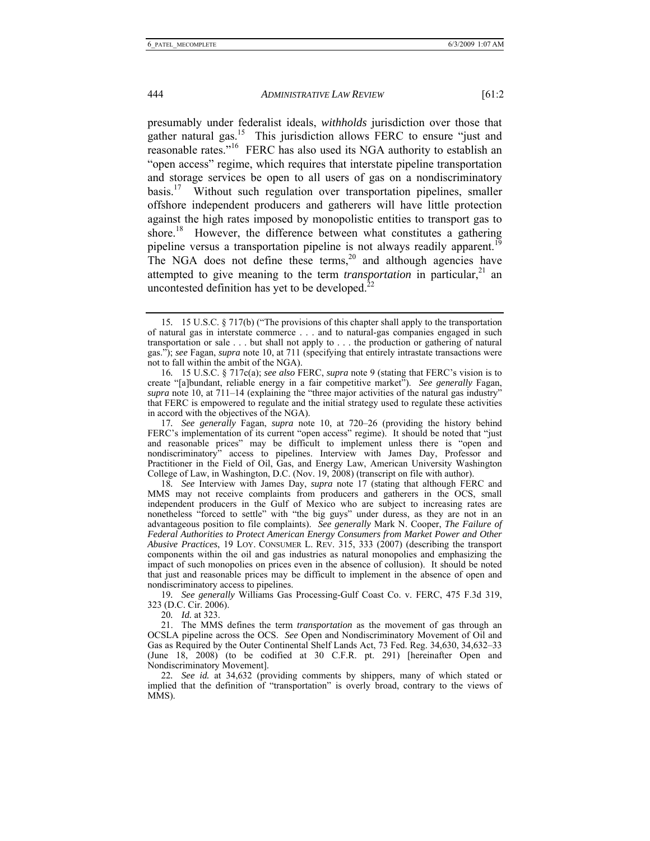presumably under federalist ideals, *withholds* jurisdiction over those that gather natural gas.<sup>15</sup> This jurisdiction allows FERC to ensure "just and reasonable rates."<sup>16</sup> FERC has also used its NGA authority to establish an "open access" regime, which requires that interstate pipeline transportation and storage services be open to all users of gas on a nondiscriminatory basis.17 Without such regulation over transportation pipelines, smaller offshore independent producers and gatherers will have little protection against the high rates imposed by monopolistic entities to transport gas to shore.<sup>18</sup> However, the difference between what constitutes a gathering pipeline versus a transportation pipeline is not always readily apparent.<sup>19</sup> The NGA does not define these terms,<sup>20</sup> and although agencies have attempted to give meaning to the term *transportation* in particular,<sup>21</sup> an uncontested definition has yet to be developed. $^{22}$ 

17*. See generally* Fagan, *supra* note 10, at 720–26 (providing the history behind FERC's implementation of its current "open access" regime). It should be noted that "just and reasonable prices" may be difficult to implement unless there is "open and nondiscriminatory" access to pipelines. Interview with James Day, Professor and Practitioner in the Field of Oil, Gas, and Energy Law, American University Washington College of Law, in Washington, D.C. (Nov. 19, 2008) (transcript on file with author).

18*. See* Interview with James Day, *supra* note 17 (stating that although FERC and MMS may not receive complaints from producers and gatherers in the OCS, small independent producers in the Gulf of Mexico who are subject to increasing rates are nonetheless "forced to settle" with "the big guys" under duress, as they are not in an advantageous position to file complaints). *See generally* Mark N. Cooper, *The Failure of Federal Authorities to Protect American Energy Consumers from Market Power and Other Abusive Practices*, 19 LOY. CONSUMER L. REV. 315, 333 (2007) (describing the transport components within the oil and gas industries as natural monopolies and emphasizing the impact of such monopolies on prices even in the absence of collusion). It should be noted that just and reasonable prices may be difficult to implement in the absence of open and nondiscriminatory access to pipelines.

19*. See generally* Williams Gas Processing-Gulf Coast Co. v. FERC, 475 F.3d 319, 323 (D.C. Cir. 2006).

20*. Id.* at 323.

 21. The MMS defines the term *transportation* as the movement of gas through an OCSLA pipeline across the OCS. *See* Open and Nondiscriminatory Movement of Oil and Gas as Required by the Outer Continental Shelf Lands Act, 73 Fed. Reg. 34,630, 34,632–33 (June 18, 2008) (to be codified at 30 C.F.R. pt. 291) [hereinafter Open and Nondiscriminatory Movement].

22*. See id.* at 34,632 (providing comments by shippers, many of which stated or implied that the definition of "transportation" is overly broad, contrary to the views of MMS).

<sup>15</sup>*.* 15 U.S.C. § 717(b) ("The provisions of this chapter shall apply to the transportation of natural gas in interstate commerce . . . and to natural-gas companies engaged in such transportation or sale . . . but shall not apply to . . . the production or gathering of natural gas."); *see* Fagan, *supra* note 10, at 711 (specifying that entirely intrastate transactions were not to fall within the ambit of the NGA).

<sup>16</sup>*.* 15 U.S.C. § 717c(a); *see also* FERC, *supra* note 9 (stating that FERC's vision is to create "[a]bundant, reliable energy in a fair competitive market"). *See generally* Fagan, *supra* note 10, at 711–14 (explaining the "three major activities of the natural gas industry" that FERC is empowered to regulate and the initial strategy used to regulate these activities in accord with the objectives of the NGA).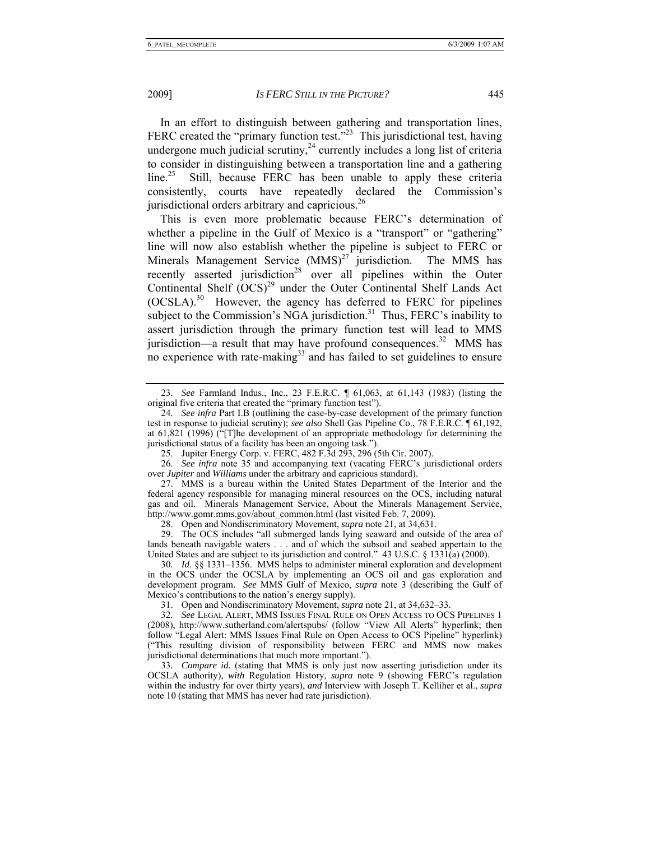In an effort to distinguish between gathering and transportation lines, FERC created the "primary function test."<sup>23</sup> This jurisdictional test, having undergone much judicial scrutiny,  $24$  currently includes a long list of criteria to consider in distinguishing between a transportation line and a gathering line.<sup>25</sup> Still, because FERC has been unable to apply these criteria consistently, courts have repeatedly declared the Commission's jurisdictional orders arbitrary and capricious. $^{26}$ 

This is even more problematic because FERC's determination of whether a pipeline in the Gulf of Mexico is a "transport" or "gathering" line will now also establish whether the pipeline is subject to FERC or Minerals Management Service  $(MMS)^{27}$  jurisdiction. The MMS has recently asserted jurisdiction<sup>28</sup> over all pipelines within the Outer Continental Shelf  $(OCS)^{29}$  under the Outer Continental Shelf Lands Act (OCSLA).30 However, the agency has deferred to FERC for pipelines subject to the Commission's NGA jurisdiction.<sup>31</sup> Thus, FERC's inability to assert jurisdiction through the primary function test will lead to MMS jurisdiction—a result that may have profound consequences.<sup>32</sup> MMS has no experience with rate-making $33$  and has failed to set guidelines to ensure

28. Open and Nondiscriminatory Movement, *supra* note 21, at 34,631.

31. Open and Nondiscriminatory Movement, *supra* note 21, at 34,632–33.

32*. See* LEGAL ALERT, MMS ISSUES FINAL RULE ON OPEN ACCESS TO OCS PIPELINES 1 (2008), http://www.sutherland.com/alertspubs/ (follow "View All Alerts" hyperlink; then follow "Legal Alert: MMS Issues Final Rule on Open Access to OCS Pipeline" hyperlink) ("This resulting division of responsibility between FERC and MMS now makes jurisdictional determinations that much more important.").

33*. Compare id.* (stating that MMS is only just now asserting jurisdiction under its OCSLA authority), *with* Regulation History, *supra* note 9 (showing FERC's regulation within the industry for over thirty years), *and* Interview with Joseph T. Kelliher et al., *supra* note 10 (stating that MMS has never had rate jurisdiction).

<sup>23</sup>*. See* Farmland Indus., Inc., 23 F.E.R.C. ¶ 61,063, at 61,143 (1983) (listing the original five criteria that created the "primary function test").

<sup>24</sup>*. See infra* Part I.B (outlining the case-by-case development of the primary function test in response to judicial scrutiny); *see also* Shell Gas Pipeline Co., 78 F.E.R.C. ¶ 61,192, at 61,821 (1996) ("[T]he development of an appropriate methodology for determining the jurisdictional status of a facility has been an ongoing task.").

 <sup>25.</sup> Jupiter Energy Corp. v. FERC, 482 F.3d 293, 296 (5th Cir. 2007).

 <sup>26.</sup> *See infra* note 35 and accompanying text (vacating FERC's jurisdictional orders over *Jupiter* and *Williams* under the arbitrary and capricious standard).

 <sup>27.</sup> MMS is a bureau within the United States Department of the Interior and the federal agency responsible for managing mineral resources on the OCS, including natural gas and oil. Minerals Management Service, About the Minerals Management Service, http://www.gomr.mms.gov/about\_common.html (last visited Feb. 7, 2009).

 <sup>29.</sup> The OCS includes "all submerged lands lying seaward and outside of the area of lands beneath navigable waters . . . and of which the subsoil and seabed appertain to the United States and are subject to its jurisdiction and control." 43 U.S.C. § 1331(a) (2000).

<sup>30</sup>*. Id*. §§ 1331–1356. MMS helps to administer mineral exploration and development in the OCS under the OCSLA by implementing an OCS oil and gas exploration and development program. *See* MMS Gulf of Mexico, *supra* note 3 (describing the Gulf of Mexico's contributions to the nation's energy supply).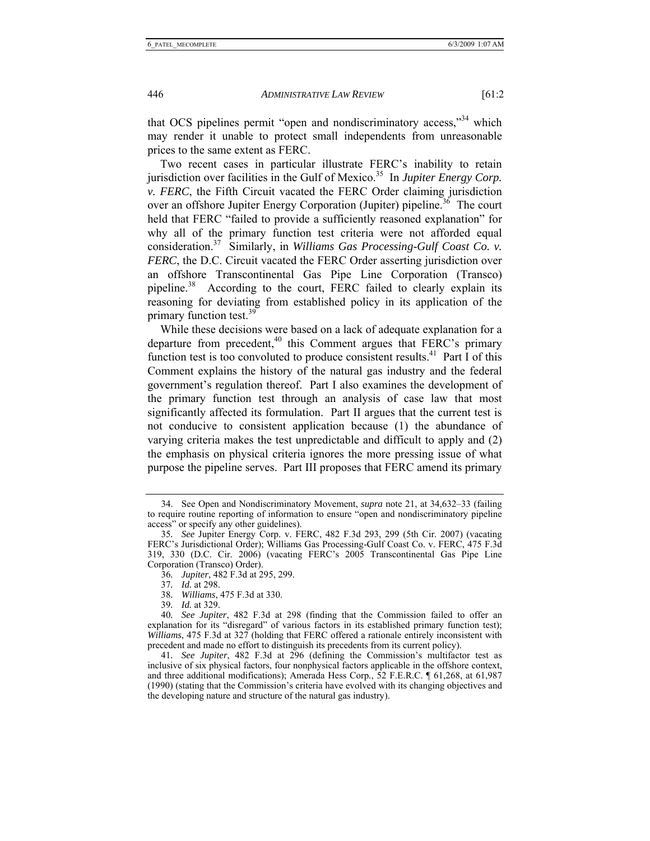that OCS pipelines permit "open and nondiscriminatory access,"34 which may render it unable to protect small independents from unreasonable prices to the same extent as FERC.

Two recent cases in particular illustrate FERC's inability to retain jurisdiction over facilities in the Gulf of Mexico.<sup>35</sup> In *Jupiter Energy Corp. v. FERC*, the Fifth Circuit vacated the FERC Order claiming jurisdiction over an offshore Jupiter Energy Corporation (Jupiter) pipeline.<sup>36</sup> The court held that FERC "failed to provide a sufficiently reasoned explanation" for why all of the primary function test criteria were not afforded equal consideration.37 Similarly, in *Williams Gas Processing-Gulf Coast Co. v. FERC*, the D.C. Circuit vacated the FERC Order asserting jurisdiction over an offshore Transcontinental Gas Pipe Line Corporation (Transco) pipeline.<sup>38</sup> According to the court, FERC failed to clearly explain its reasoning for deviating from established policy in its application of the primary function test.<sup>39</sup>

While these decisions were based on a lack of adequate explanation for a departure from precedent, $40$  this Comment argues that FERC's primary function test is too convoluted to produce consistent results.<sup>41</sup> Part I of this Comment explains the history of the natural gas industry and the federal government's regulation thereof. Part I also examines the development of the primary function test through an analysis of case law that most significantly affected its formulation. Part II argues that the current test is not conducive to consistent application because (1) the abundance of varying criteria makes the test unpredictable and difficult to apply and (2) the emphasis on physical criteria ignores the more pressing issue of what purpose the pipeline serves. Part III proposes that FERC amend its primary

36*. Jupiter*, 482 F.3d at 295, 299.

 <sup>34.</sup> See Open and Nondiscriminatory Movement, *supra* note 21, at 34,632–33 (failing to require routine reporting of information to ensure "open and nondiscriminatory pipeline access" or specify any other guidelines).

<sup>35</sup>*. See* Jupiter Energy Corp. v. FERC, 482 F.3d 293, 299 (5th Cir. 2007) (vacating FERC's Jurisdictional Order); Williams Gas Processing-Gulf Coast Co. v. FERC, 475 F.3d 319, 330 (D.C. Cir. 2006) (vacating FERC's 2005 Transcontinental Gas Pipe Line Corporation (Transco) Order).

<sup>37</sup>*. Id.* at 298.

<sup>38</sup>*. Williams*, 475 F.3d at 330.

<sup>39</sup>*. Id.* at 329.

<sup>40</sup>*. See Jupiter*, 482 F.3d at 298 (finding that the Commission failed to offer an explanation for its "disregard" of various factors in its established primary function test); *Williams*, 475 F.3d at 327 (holding that FERC offered a rationale entirely inconsistent with precedent and made no effort to distinguish its precedents from its current policy).

<sup>41</sup>*. See Jupiter*, 482 F.3d at 296 (defining the Commission's multifactor test as inclusive of six physical factors, four nonphysical factors applicable in the offshore context, and three additional modifications); Amerada Hess Corp*.*, 52 F.E.R.C. ¶ 61,268, at 61,987 (1990) (stating that the Commission's criteria have evolved with its changing objectives and the developing nature and structure of the natural gas industry).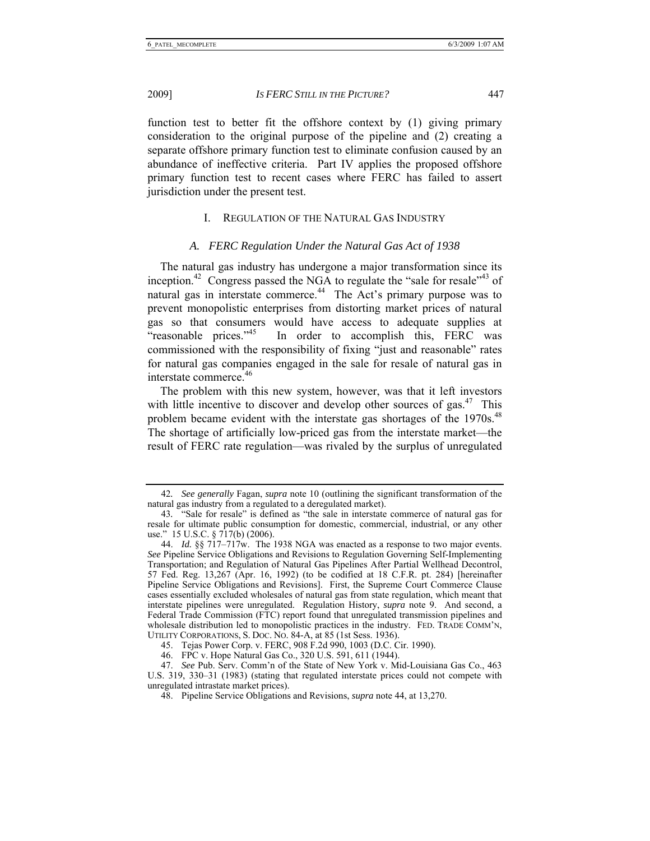function test to better fit the offshore context by (1) giving primary consideration to the original purpose of the pipeline and (2) creating a separate offshore primary function test to eliminate confusion caused by an abundance of ineffective criteria. Part IV applies the proposed offshore primary function test to recent cases where FERC has failed to assert jurisdiction under the present test.

## I. REGULATION OF THE NATURAL GAS INDUSTRY

# *A. FERC Regulation Under the Natural Gas Act of 1938*

The natural gas industry has undergone a major transformation since its inception.<sup>42</sup> Congress passed the NGA to regulate the "sale for resale"<sup>43</sup> of natural gas in interstate commerce.<sup>44</sup> The Act's primary purpose was to prevent monopolistic enterprises from distorting market prices of natural gas so that consumers would have access to adequate supplies at "reasonable prices."<sup>45</sup> In order to accomplish this, FERC was In order to accomplish this, FERC was commissioned with the responsibility of fixing "just and reasonable" rates for natural gas companies engaged in the sale for resale of natural gas in interstate commerce.<sup>46</sup>

The problem with this new system, however, was that it left investors with little incentive to discover and develop other sources of gas. $47$  This problem became evident with the interstate gas shortages of the 1970s.<sup>48</sup> The shortage of artificially low-priced gas from the interstate market—the result of FERC rate regulation—was rivaled by the surplus of unregulated

 <sup>42</sup>*. See generally* Fagan, *supra* note 10 (outlining the significant transformation of the natural gas industry from a regulated to a deregulated market).

 <sup>43</sup>*.* "Sale for resale" is defined as "the sale in interstate commerce of natural gas for resale for ultimate public consumption for domestic, commercial, industrial, or any other use." 15 U.S.C. § 717(b) (2006).

 <sup>44.</sup> *Id.* §§ 717–717w. The 1938 NGA was enacted as a response to two major events. *See* Pipeline Service Obligations and Revisions to Regulation Governing Self-Implementing Transportation; and Regulation of Natural Gas Pipelines After Partial Wellhead Decontrol, 57 Fed. Reg. 13,267 (Apr. 16, 1992) (to be codified at 18 C.F.R. pt. 284) [hereinafter Pipeline Service Obligations and Revisions]. First, the Supreme Court Commerce Clause cases essentially excluded wholesales of natural gas from state regulation, which meant that interstate pipelines were unregulated. Regulation History, *supra* note 9. And second, a Federal Trade Commission (FTC) report found that unregulated transmission pipelines and wholesale distribution led to monopolistic practices in the industry. FED. TRADE COMM'N, UTILITY CORPORATIONS, S. DOC. NO. 84-A, at 85 (1st Sess. 1936).

 <sup>45.</sup> Tejas Power Corp. v. FERC, 908 F.2d 990, 1003 (D.C. Cir. 1990).

 <sup>46.</sup> FPC v. Hope Natural Gas Co., 320 U.S. 591, 611 (1944).

 <sup>47.</sup> *See* Pub. Serv. Comm'n of the State of New York v. Mid-Louisiana Gas Co., 463 U.S. 319, 330–31 (1983) (stating that regulated interstate prices could not compete with unregulated intrastate market prices).

 <sup>48.</sup> Pipeline Service Obligations and Revisions, *supra* note 44, at 13,270.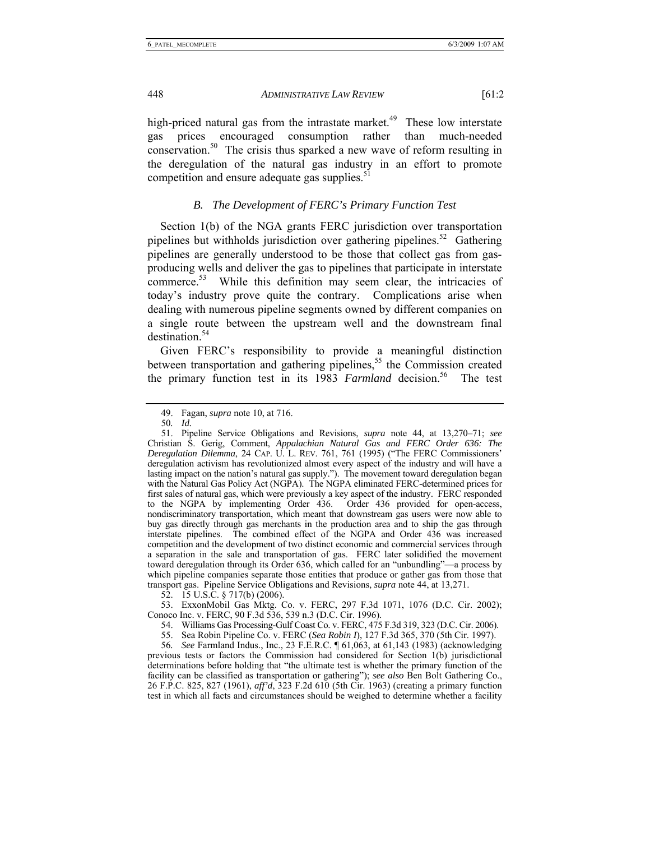high-priced natural gas from the intrastate market.<sup>49</sup> These low interstate gas prices encouraged consumption rather than much-needed conservation.<sup>50</sup> The crisis thus sparked a new wave of reform resulting in the deregulation of the natural gas industry in an effort to promote competition and ensure adequate gas supplies. $51$ 

# *B. The Development of FERC's Primary Function Test*

Section 1(b) of the NGA grants FERC jurisdiction over transportation pipelines but withholds jurisdiction over gathering pipelines.<sup>52</sup> Gathering pipelines are generally understood to be those that collect gas from gasproducing wells and deliver the gas to pipelines that participate in interstate commerce.<sup>53</sup> While this definition may seem clear, the intricacies of today's industry prove quite the contrary. Complications arise when dealing with numerous pipeline segments owned by different companies on a single route between the upstream well and the downstream final destination.<sup>54</sup>

Given FERC's responsibility to provide a meaningful distinction between transportation and gathering pipelines,<sup>55</sup> the Commission created the primary function test in its 1983 *Farmland* decision.<sup>56</sup> The test

52. 15 U.S.C. § 717(b) (2006).

 53. ExxonMobil Gas Mktg. Co. v. FERC, 297 F.3d 1071, 1076 (D.C. Cir. 2002); Conoco Inc. v. FERC, 90 F.3d 536, 539 n.3 (D.C. Cir. 1996).

56*. See* Farmland Indus., Inc., 23 F.E.R.C. ¶ 61,063, at 61,143 (1983) (acknowledging previous tests or factors the Commission had considered for Section 1(b) jurisdictional determinations before holding that "the ultimate test is whether the primary function of the facility can be classified as transportation or gathering"); *see also* Ben Bolt Gathering Co., 26 F.P.C. 825, 827 (1961), *aff'd*, 323 F.2d 610 (5th Cir. 1963) (creating a primary function test in which all facts and circumstances should be weighed to determine whether a facility

 <sup>49.</sup> Fagan, *supra* note 10, at 716.

<sup>50</sup>*. Id.*

 <sup>51.</sup> Pipeline Service Obligations and Revisions, *supra* note 44, at 13,270–71; *see* Christian S. Gerig, Comment, *Appalachian Natural Gas and FERC Order 636: The Deregulation Dilemma*, 24 CAP. U. L. REV. 761, 761 (1995) ("The FERC Commissioners' deregulation activism has revolutionized almost every aspect of the industry and will have a lasting impact on the nation's natural gas supply."). The movement toward deregulation began with the Natural Gas Policy Act (NGPA). The NGPA eliminated FERC-determined prices for first sales of natural gas, which were previously a key aspect of the industry.FERC responded to the NGPA by implementing Order 436. Order 436 provided for open-access, nondiscriminatory transportation, which meant that downstream gas users were now able to buy gas directly through gas merchants in the production area and to ship the gas through interstate pipelines. The combined effect of the NGPA and Order 436 was increased competition and the development of two distinct economic and commercial services through a separation in the sale and transportation of gas. FERC later solidified the movement toward deregulation through its Order 636, which called for an "unbundling"—a process by which pipeline companies separate those entities that produce or gather gas from those that transport gas. Pipeline Service Obligations and Revisions, *supra* note 44, at 13,271.

 <sup>54.</sup> Williams Gas Processing-Gulf Coast Co. v. FERC, 475 F.3d 319, 323 (D.C. Cir. 2006).

 <sup>55.</sup> Sea Robin Pipeline Co. v. FERC (*Sea Robin I*), 127 F.3d 365, 370 (5th Cir. 1997).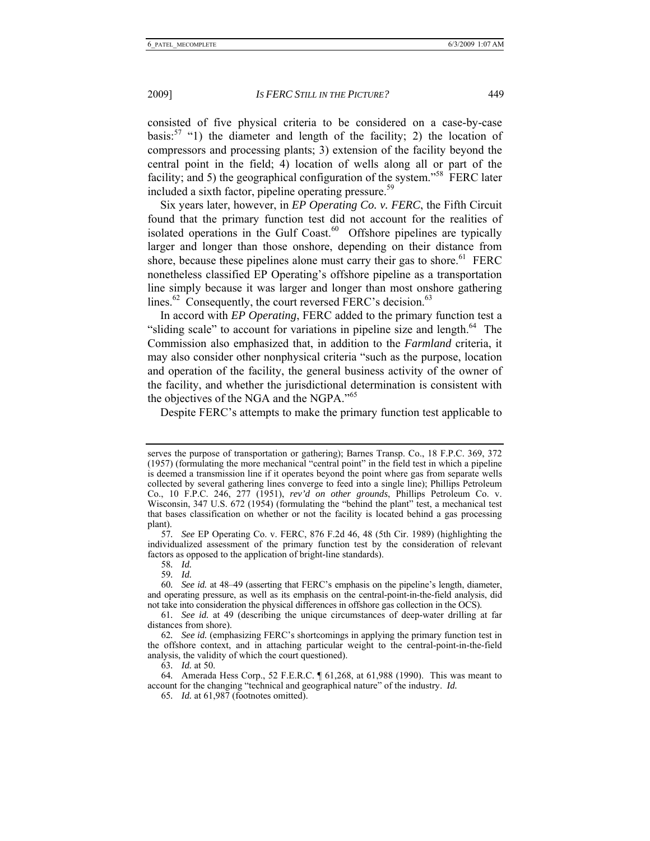consisted of five physical criteria to be considered on a case-by-case basis:<sup>57</sup> "1) the diameter and length of the facility; 2) the location of compressors and processing plants; 3) extension of the facility beyond the central point in the field; 4) location of wells along all or part of the facility; and 5) the geographical configuration of the system."<sup>58</sup> FERC later included a sixth factor, pipeline operating pressure.<sup>59</sup>

Six years later, however, in *EP Operating Co. v. FERC*, the Fifth Circuit found that the primary function test did not account for the realities of isolated operations in the Gulf Coast.<sup>60</sup> Offshore pipelines are typically larger and longer than those onshore, depending on their distance from shore, because these pipelines alone must carry their gas to shore.<sup>61</sup> FERC nonetheless classified EP Operating's offshore pipeline as a transportation line simply because it was larger and longer than most onshore gathering lines.<sup>62</sup> Consequently, the court reversed FERC's decision.<sup>63</sup>

In accord with *EP Operating*, FERC added to the primary function test a "sliding scale" to account for variations in pipeline size and length.<sup>64</sup> The Commission also emphasized that, in addition to the *Farmland* criteria, it may also consider other nonphysical criteria "such as the purpose, location and operation of the facility, the general business activity of the owner of the facility, and whether the jurisdictional determination is consistent with the objectives of the NGA and the NGPA."<sup>65</sup>

Despite FERC's attempts to make the primary function test applicable to

59*. Id.*

63*. Id.* at 50.

serves the purpose of transportation or gathering); Barnes Transp. Co., 18 F.P.C. 369, 372 (1957) (formulating the more mechanical "central point" in the field test in which a pipeline is deemed a transmission line if it operates beyond the point where gas from separate wells collected by several gathering lines converge to feed into a single line); Phillips Petroleum Co., 10 F.P.C. 246, 277 (1951), *rev'd on other grounds*, Phillips Petroleum Co. v. Wisconsin, 347 U.S. 672 (1954) (formulating the "behind the plant" test, a mechanical test that bases classification on whether or not the facility is located behind a gas processing plant).

<sup>57</sup>*. See* EP Operating Co. v. FERC, 876 F.2d 46, 48 (5th Cir. 1989) (highlighting the individualized assessment of the primary function test by the consideration of relevant factors as opposed to the application of bright-line standards).

<sup>58</sup>*. Id.*

<sup>60</sup>*. See id.* at 48–49 (asserting that FERC's emphasis on the pipeline's length, diameter, and operating pressure, as well as its emphasis on the central-point-in-the-field analysis, did not take into consideration the physical differences in offshore gas collection in the OCS).

<sup>61</sup>*. See id.* at 49 (describing the unique circumstances of deep-water drilling at far distances from shore).

<sup>62</sup>*. See id.* (emphasizing FERC's shortcomings in applying the primary function test in the offshore context, and in attaching particular weight to the central-point-in-the-field analysis, the validity of which the court questioned).

<sup>64</sup>*.* Amerada Hess Corp., 52 F.E.R.C. ¶ 61,268, at 61,988 (1990). This was meant to account for the changing "technical and geographical nature" of the industry. *Id.*

<sup>65</sup>*. Id.* at 61,987 (footnotes omitted).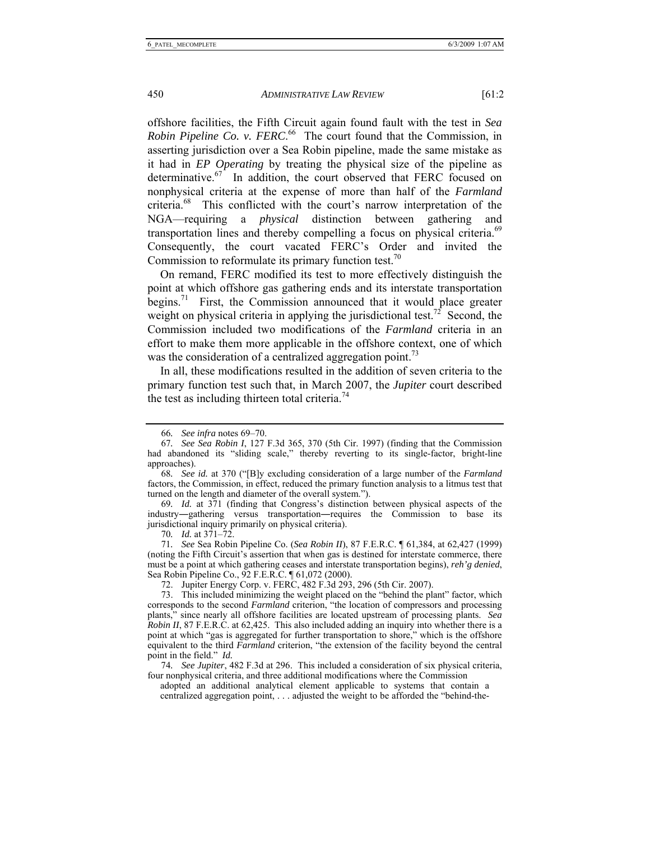offshore facilities, the Fifth Circuit again found fault with the test in *Sea Robin Pipeline Co. v. FERC*.<sup>66</sup> The court found that the Commission, in asserting jurisdiction over a Sea Robin pipeline, made the same mistake as it had in *EP Operating* by treating the physical size of the pipeline as determinative.<sup>67</sup> In addition, the court observed that FERC focused on nonphysical criteria at the expense of more than half of the *Farmland* criteria.68 This conflicted with the court's narrow interpretation of the NGA—requiring a *physical* distinction between gathering and transportation lines and thereby compelling a focus on physical criteria.<sup>69</sup> Consequently, the court vacated FERC's Order and invited the Commission to reformulate its primary function test.<sup>70</sup>

On remand, FERC modified its test to more effectively distinguish the point at which offshore gas gathering ends and its interstate transportation begins.<sup>71</sup> First, the Commission announced that it would place greater weight on physical criteria in applying the jurisdictional test.<sup>72</sup> Second, the Commission included two modifications of the *Farmland* criteria in an effort to make them more applicable in the offshore context, one of which was the consideration of a centralized aggregation point.<sup>73</sup>

In all, these modifications resulted in the addition of seven criteria to the primary function test such that, in March 2007, the *Jupiter* court described the test as including thirteen total criteria.<sup>74</sup>

69*. Id.* at 371 (finding that Congress's distinction between physical aspects of the industry―gathering versus transportation―requires the Commission to base its jurisdictional inquiry primarily on physical criteria).

70*. Id.* at 371–72.

71*. See* Sea Robin Pipeline Co. (*Sea Robin II*), 87 F.E.R.C. ¶ 61,384, at 62,427 (1999) (noting the Fifth Circuit's assertion that when gas is destined for interstate commerce, there must be a point at which gathering ceases and interstate transportation begins), *reh'g denied*, Sea Robin Pipeline Co., 92 F.E.R.C. ¶ 61,072 (2000).

72. Jupiter Energy Corp. v. FERC, 482 F.3d 293, 296 (5th Cir. 2007).

 73. This included minimizing the weight placed on the "behind the plant" factor, which corresponds to the second *Farmland* criterion, "the location of compressors and processing plants," since nearly all offshore facilities are located upstream of processing plants. *Sea Robin II*, 87 F.E.R.C. at 62,425. This also included adding an inquiry into whether there is a point at which "gas is aggregated for further transportation to shore," which is the offshore equivalent to the third *Farmland* criterion, "the extension of the facility beyond the central point in the field." *Id.*

74*. See Jupiter*, 482 F.3d at 296. This included a consideration of six physical criteria, four nonphysical criteria, and three additional modifications where the Commission

adopted an additional analytical element applicable to systems that contain a centralized aggregation point, . . . adjusted the weight to be afforded the "behind-the-

<sup>66</sup>*. See infra* notes 69–70.

<sup>67</sup>*. See Sea Robin I*, 127 F.3d 365, 370 (5th Cir. 1997) (finding that the Commission had abandoned its "sliding scale," thereby reverting to its single-factor, bright-line approaches).

<sup>68</sup>*. See id.* at 370 ("[B]y excluding consideration of a large number of the *Farmland* factors, the Commission, in effect, reduced the primary function analysis to a litmus test that turned on the length and diameter of the overall system.").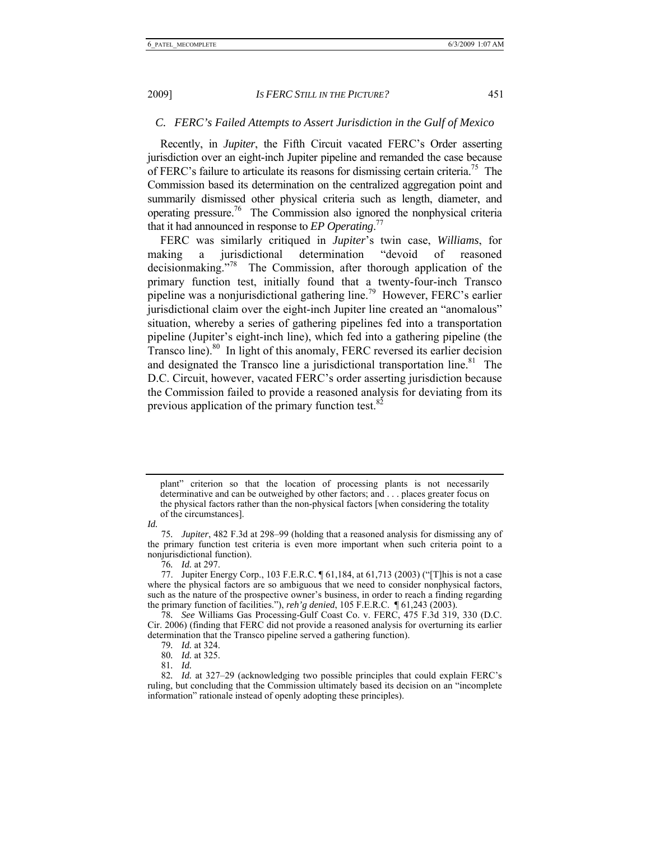## *C. FERC's Failed Attempts to Assert Jurisdiction in the Gulf of Mexico*

Recently, in *Jupiter*, the Fifth Circuit vacated FERC's Order asserting jurisdiction over an eight-inch Jupiter pipeline and remanded the case because of FERC's failure to articulate its reasons for dismissing certain criteria.<sup>75</sup> The Commission based its determination on the centralized aggregation point and summarily dismissed other physical criteria such as length, diameter, and operating pressure.76 The Commission also ignored the nonphysical criteria that it had announced in response to *EP Operating*. 77

FERC was similarly critiqued in *Jupiter*'s twin case, *Williams*, for making a jurisdictional determination "devoid of reasoned decisionmaking."<sup>78</sup> The Commission, after thorough application of the primary function test, initially found that a twenty-four-inch Transco pipeline was a nonjurisdictional gathering line.<sup>79</sup> However, FERC's earlier jurisdictional claim over the eight-inch Jupiter line created an "anomalous" situation, whereby a series of gathering pipelines fed into a transportation pipeline (Jupiter's eight-inch line), which fed into a gathering pipeline (the Transco line).<sup>80</sup> In light of this anomaly, FERC reversed its earlier decision and designated the Transco line a jurisdictional transportation line.<sup>81</sup> The D.C. Circuit, however, vacated FERC's order asserting jurisdiction because the Commission failed to provide a reasoned analysis for deviating from its previous application of the primary function test.<sup>82</sup>

plant" criterion so that the location of processing plants is not necessarily determinative and can be outweighed by other factors; and . . . places greater focus on the physical factors rather than the non-physical factors [when considering the totality of the circumstances].

*Id.* 

75*. Jupiter*, 482 F.3d at 298–99 (holding that a reasoned analysis for dismissing any of the primary function test criteria is even more important when such criteria point to a nonjurisdictional function).

76*. Id.* at 297.

 77. Jupiter Energy Corp., 103 F.E.R.C. ¶ 61,184, at 61,713 (2003) ("[T]his is not a case where the physical factors are so ambiguous that we need to consider nonphysical factors, such as the nature of the prospective owner's business, in order to reach a finding regarding the primary function of facilities."), *reh'g denied*, 105 F.E.R.C. ¶ 61,243 (2003).

78*. See* Williams Gas Processing-Gulf Coast Co. v. FERC, 475 F.3d 319, 330 (D.C. Cir. 2006) (finding that FERC did not provide a reasoned analysis for overturning its earlier determination that the Transco pipeline served a gathering function).

80*. Id.* at 325.

81*. Id.*

<sup>79</sup>*. Id.* at 324.

<sup>82</sup>*. Id.* at 327–29 (acknowledging two possible principles that could explain FERC's ruling, but concluding that the Commission ultimately based its decision on an "incomplete information" rationale instead of openly adopting these principles).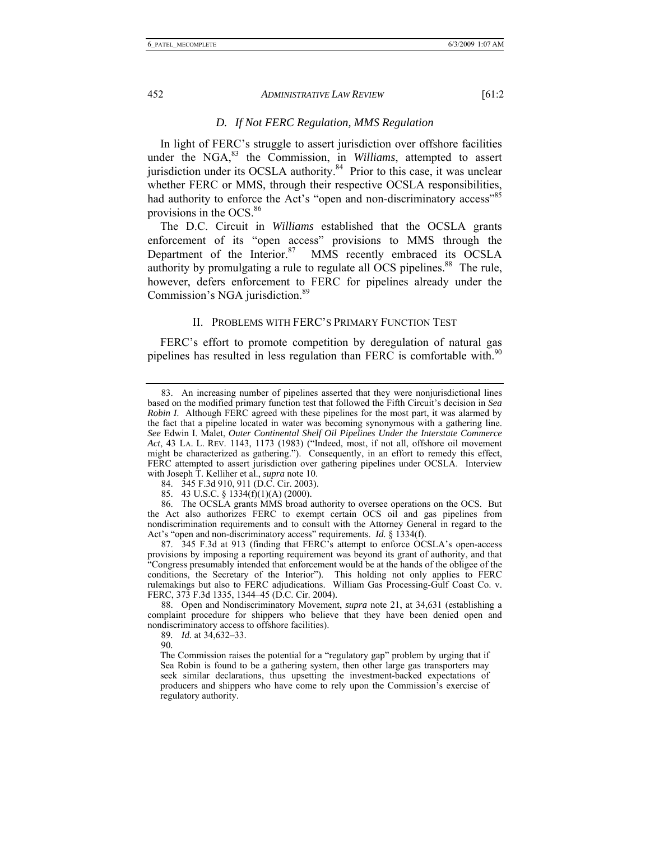#### *D. If Not FERC Regulation, MMS Regulation*

In light of FERC's struggle to assert jurisdiction over offshore facilities under the NGA,<sup>83</sup> the Commission, in *Williams*, attempted to assert jurisdiction under its OCSLA authority.<sup>84</sup> Prior to this case, it was unclear whether FERC or MMS, through their respective OCSLA responsibilities, had authority to enforce the Act's "open and non-discriminatory access"<sup>85</sup> provisions in the OCS. $86$ 

The D.C. Circuit in *Williams* established that the OCSLA grants enforcement of its "open access" provisions to MMS through the Department of the Interior.<sup>87</sup> MMS recently embraced its OCSLA authority by promulgating a rule to regulate all OCS pipelines. $88$  The rule, however, defers enforcement to FERC for pipelines already under the Commission's NGA jurisdiction.<sup>89</sup>

#### II. PROBLEMS WITH FERC'S PRIMARY FUNCTION TEST

FERC's effort to promote competition by deregulation of natural gas pipelines has resulted in less regulation than FERC is comfortable with.<sup>90</sup>

85. 43 U.S.C. § 1334(f)(1)(A) (2000).

 86. The OCSLA grants MMS broad authority to oversee operations on the OCS. But the Act also authorizes FERC to exempt certain OCS oil and gas pipelines from nondiscrimination requirements and to consult with the Attorney General in regard to the Act's "open and non-discriminatory access" requirements. *Id.* § 1334(f).

 87. 345 F.3d at 913 (finding that FERC's attempt to enforce OCSLA's open-access provisions by imposing a reporting requirement was beyond its grant of authority, and that "Congress presumably intended that enforcement would be at the hands of the obligee of the conditions, the Secretary of the Interior"). This holding not only applies to FERC rulemakings but also to FERC adjudications. William Gas Processing-Gulf Coast Co. v. FERC, 373 F.3d 1335, 1344–45 (D.C. Cir. 2004).

 88. Open and Nondiscriminatory Movement, *supra* note 21, at 34,631 (establishing a complaint procedure for shippers who believe that they have been denied open and nondiscriminatory access to offshore facilities).

90*.* 

 <sup>83.</sup> An increasing number of pipelines asserted that they were nonjurisdictional lines based on the modified primary function test that followed the Fifth Circuit's decision in *Sea Robin I*. Although FERC agreed with these pipelines for the most part, it was alarmed by the fact that a pipeline located in water was becoming synonymous with a gathering line. *See* Edwin I. Malet, *Outer Continental Shelf Oil Pipelines Under the Interstate Commerce Act*, 43 LA. L. REV. 1143, 1173 (1983) ("Indeed, most, if not all, offshore oil movement might be characterized as gathering."). Consequently, in an effort to remedy this effect, FERC attempted to assert jurisdiction over gathering pipelines under OCSLA. Interview with Joseph T. Kelliher et al., *supra* note 10.

 <sup>84. 345</sup> F.3d 910, 911 (D.C. Cir. 2003).

<sup>89</sup>*. Id.* at 34,632–33.

The Commission raises the potential for a "regulatory gap" problem by urging that if Sea Robin is found to be a gathering system, then other large gas transporters may seek similar declarations, thus upsetting the investment-backed expectations of producers and shippers who have come to rely upon the Commission's exercise of regulatory authority.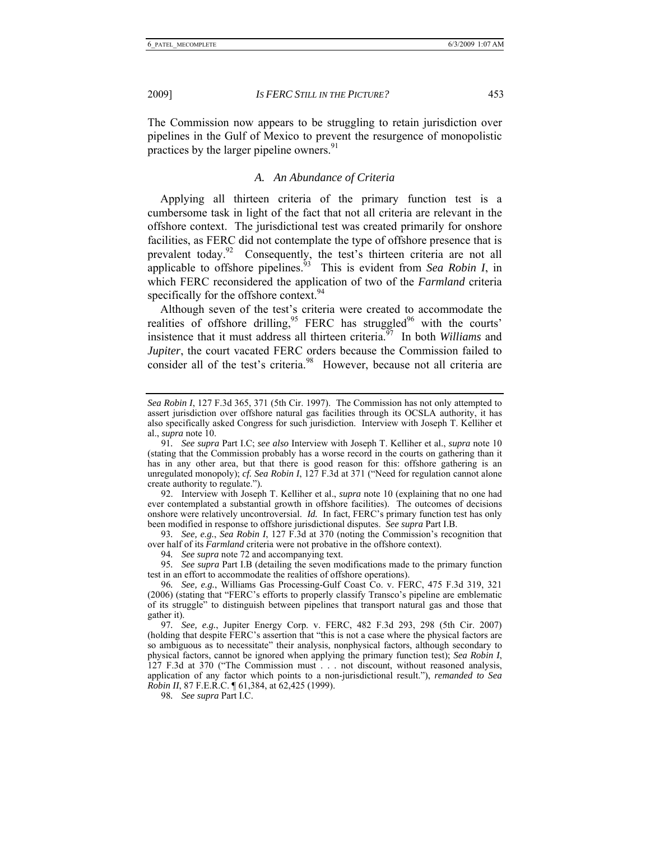The Commission now appears to be struggling to retain jurisdiction over pipelines in the Gulf of Mexico to prevent the resurgence of monopolistic practices by the larger pipeline owners.<sup>91</sup>

# *A. An Abundance of Criteria*

Applying all thirteen criteria of the primary function test is a cumbersome task in light of the fact that not all criteria are relevant in the offshore context. The jurisdictional test was created primarily for onshore facilities, as FERC did not contemplate the type of offshore presence that is prevalent today.<sup>92</sup> Consequently, the test's thirteen criteria are not all applicable to offshore pipelines.<sup>93</sup> This is evident from *Sea Robin I*, in which FERC reconsidered the application of two of the *Farmland* criteria specifically for the offshore context.  $94$ 

Although seven of the test's criteria were created to accommodate the realities of offshore drilling,<sup>95</sup> FERC has struggled<sup>96</sup> with the courts' insistence that it must address all thirteen criteria.97 In both *Williams* and *Jupiter*, the court vacated FERC orders because the Commission failed to consider all of the test's criteria.<sup>98</sup> However, because not all criteria are

 92. Interview with Joseph T. Kelliher et al., *supra* note 10 (explaining that no one had ever contemplated a substantial growth in offshore facilities). The outcomes of decisions onshore were relatively uncontroversial. *Id.* In fact, FERC's primary function test has only been modified in response to offshore jurisdictional disputes. *See supra* Part I.B.

93*. See, e.g.*, *Sea Robin I*, 127 F.3d at 370 (noting the Commission's recognition that over half of its *Farmland* criteria were not probative in the offshore context).

94*. See supra* note 72 and accompanying text.

95*. See supra* Part I.B (detailing the seven modifications made to the primary function test in an effort to accommodate the realities of offshore operations).

98*. See supra* Part I.C.

*Sea Robin I*, 127 F.3d 365, 371 (5th Cir. 1997). The Commission has not only attempted to assert jurisdiction over offshore natural gas facilities through its OCSLA authority, it has also specifically asked Congress for such jurisdiction. Interview with Joseph T. Kelliher et al., *supra* note 10.

<sup>91</sup>*. See supra* Part I.C; *see also* Interview with Joseph T. Kelliher et al., *supra* note 10 (stating that the Commission probably has a worse record in the courts on gathering than it has in any other area, but that there is good reason for this: offshore gathering is an unregulated monopoly); *cf. Sea Robin I*, 127 F.3d at 371 ("Need for regulation cannot alone create authority to regulate.").

<sup>96</sup>*. See, e.g.*, Williams Gas Processing-Gulf Coast Co. v. FERC, 475 F.3d 319, 321 (2006) (stating that "FERC's efforts to properly classify Transco's pipeline are emblematic of its struggle" to distinguish between pipelines that transport natural gas and those that gather it).

<sup>97</sup>*. See, e.g.*, Jupiter Energy Corp. v. FERC, 482 F.3d 293, 298 (5th Cir. 2007) (holding that despite FERC's assertion that "this is not a case where the physical factors are so ambiguous as to necessitate" their analysis, nonphysical factors, although secondary to physical factors, cannot be ignored when applying the primary function test); *Sea Robin I*, 127 F.3d at 370 ("The Commission must . . . not discount, without reasoned analysis, application of any factor which points to a non-jurisdictional result."), *remanded to Sea Robin II*, 87 F.E.R.C. ¶ 61,384, at 62,425 (1999).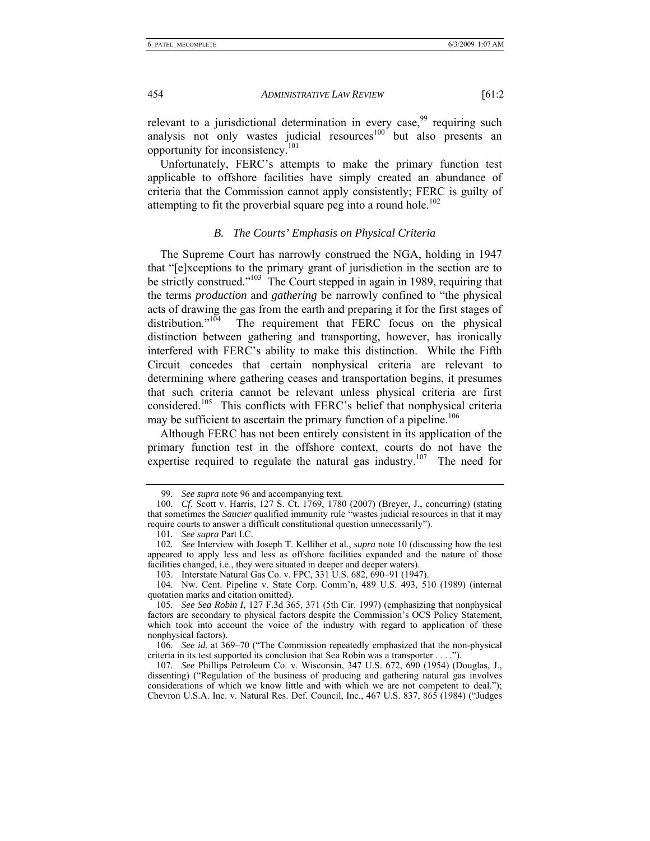relevant to a jurisdictional determination in every case,<sup>99</sup> requiring such analysis not only wastes judicial resources<sup>100</sup> but also presents an opportunity for inconsistency.101

Unfortunately, FERC's attempts to make the primary function test applicable to offshore facilities have simply created an abundance of criteria that the Commission cannot apply consistently; FERC is guilty of attempting to fit the proverbial square peg into a round hole.<sup>102</sup>

# *B. The Courts' Emphasis on Physical Criteria*

The Supreme Court has narrowly construed the NGA, holding in 1947 that "[e]xceptions to the primary grant of jurisdiction in the section are to be strictly construed."103 The Court stepped in again in 1989, requiring that the terms *production* and *gathering* be narrowly confined to "the physical acts of drawing the gas from the earth and preparing it for the first stages of distribution."<sup>104</sup> The requirement that FERC focus on the physical The requirement that FERC focus on the physical distinction between gathering and transporting, however, has ironically interfered with FERC's ability to make this distinction. While the Fifth Circuit concedes that certain nonphysical criteria are relevant to determining where gathering ceases and transportation begins, it presumes that such criteria cannot be relevant unless physical criteria are first considered.105 This conflicts with FERC's belief that nonphysical criteria may be sufficient to ascertain the primary function of a pipeline.<sup>106</sup>

Although FERC has not been entirely consistent in its application of the primary function test in the offshore context, courts do not have the expertise required to regulate the natural gas industry.<sup>107</sup> The need for

<sup>99</sup>*. See supra* note 96 and accompanying text.

<sup>100</sup>*. Cf.* Scott v. Harris, 127 S. Ct. 1769, 1780 (2007) (Breyer, J., concurring) (stating that sometimes the *Saucier* qualified immunity rule "wastes judicial resources in that it may require courts to answer a difficult constitutional question unnecessarily").

<sup>101</sup>*. See supra* Part I.C.

<sup>102</sup>*. See* Interview with Joseph T. Kelliher et al., *supra* note 10 (discussing how the test appeared to apply less and less as offshore facilities expanded and the nature of those facilities changed, i.e., they were situated in deeper and deeper waters).

 <sup>103.</sup> Interstate Natural Gas Co. v. FPC, 331 U.S. 682, 690–91 (1947).

 <sup>104.</sup> Nw. Cent. Pipeline v. State Corp. Comm'n, 489 U.S. 493, 510 (1989) (internal quotation marks and citation omitted).

<sup>105</sup>*. See Sea Robin I*, 127 F.3d 365, 371 (5th Cir. 1997) (emphasizing that nonphysical factors are secondary to physical factors despite the Commission's OCS Policy Statement, which took into account the voice of the industry with regard to application of these nonphysical factors).

<sup>106</sup>*. See id.* at 369–70 ("The Commission repeatedly emphasized that the non-physical criteria in its test supported its conclusion that Sea Robin was a transporter . . . .").

<sup>107</sup>*. See* Phillips Petroleum Co. v. Wisconsin, 347 U.S. 672, 690 (1954) (Douglas, J., dissenting) ("Regulation of the business of producing and gathering natural gas involves considerations of which we know little and with which we are not competent to deal."); Chevron U.S.A. Inc. v. Natural Res. Def. Council, Inc., 467 U.S. 837, 865 (1984) ("Judges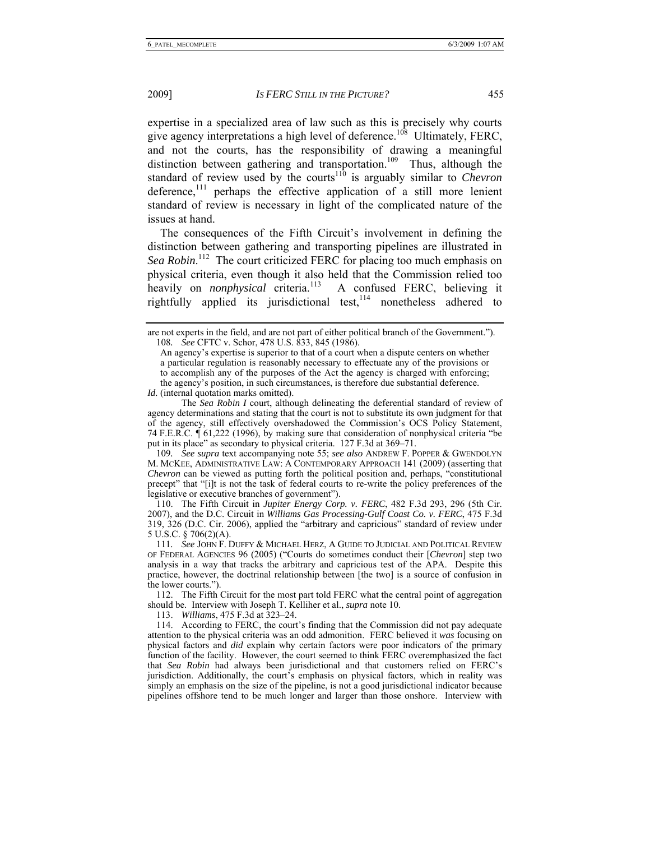expertise in a specialized area of law such as this is precisely why courts give agency interpretations a high level of deference.<sup>108</sup> Ultimately, FERC, and not the courts, has the responsibility of drawing a meaningful distinction between gathering and transportation.<sup>109</sup> Thus, although the standard of review used by the courts<sup>110</sup> is arguably similar to *Chevron* deference, $^{111}$  perhaps the effective application of a still more lenient standard of review is necessary in light of the complicated nature of the issues at hand.

The consequences of the Fifth Circuit's involvement in defining the distinction between gathering and transporting pipelines are illustrated in Sea Robin.<sup>112</sup> The court criticized FERC for placing too much emphasis on physical criteria, even though it also held that the Commission relied too heavily on *nonphysical* criteria.<sup>113</sup> A confused FERC, believing it rightfully applied its jurisdictional test,  $114$  nonetheless adhered to

*Id.* (internal quotation marks omitted).

 The *Sea Robin I* court, although delineating the deferential standard of review of agency determinations and stating that the court is not to substitute its own judgment for that of the agency, still effectively overshadowed the Commission's OCS Policy Statement, 74 F.E.R.C. ¶ 61,222 (1996), by making sure that consideration of nonphysical criteria "be put in its place" as secondary to physical criteria. 127 F.3d at 369–71.

109*. See supra* text accompanying note 55; *see also* ANDREW F. POPPER & GWENDOLYN M. MCKEE, ADMINISTRATIVE LAW: A CONTEMPORARY APPROACH 141 (2009) (asserting that *Chevron* can be viewed as putting forth the political position and, perhaps, "constitutional precept" that "[i]t is not the task of federal courts to re-write the policy preferences of the legislative or executive branches of government").

 110. The Fifth Circuit in *Jupiter Energy Corp. v. FERC*, 482 F.3d 293, 296 (5th Cir. 2007), and the D.C. Circuit in *Williams Gas Processing-Gulf Coast Co. v. FERC*, 475 F.3d 319, 326 (D.C. Cir. 2006), applied the "arbitrary and capricious" standard of review under 5 U.S.C. § 706(2)(A).

111*. See* JOHN F. DUFFY & MICHAEL HERZ, A GUIDE TO JUDICIAL AND POLITICAL REVIEW OF FEDERAL AGENCIES 96 (2005) ("Courts do sometimes conduct their [*Chevron*] step two analysis in a way that tracks the arbitrary and capricious test of the APA. Despite this practice, however, the doctrinal relationship between [the two] is a source of confusion in the lower courts.").

 112. The Fifth Circuit for the most part told FERC what the central point of aggregation should be. Interview with Joseph T. Kelliher et al., *supra* note 10.

113. *Williams*, 475 F.3d at 323–24.

 114. According to FERC, the court's finding that the Commission did not pay adequate attention to the physical criteria was an odd admonition. FERC believed it *was* focusing on physical factors and *did* explain why certain factors were poor indicators of the primary function of the facility. However, the court seemed to think FERC overemphasized the fact that *Sea Robin* had always been jurisdictional and that customers relied on FERC's jurisdiction. Additionally, the court's emphasis on physical factors, which in reality was simply an emphasis on the size of the pipeline, is not a good jurisdictional indicator because pipelines offshore tend to be much longer and larger than those onshore. Interview with

are not experts in the field, and are not part of either political branch of the Government."). 108*. See* CFTC v. Schor, 478 U.S. 833, 845 (1986).

An agency's expertise is superior to that of a court when a dispute centers on whether a particular regulation is reasonably necessary to effectuate any of the provisions or to accomplish any of the purposes of the Act the agency is charged with enforcing; the agency's position, in such circumstances, is therefore due substantial deference.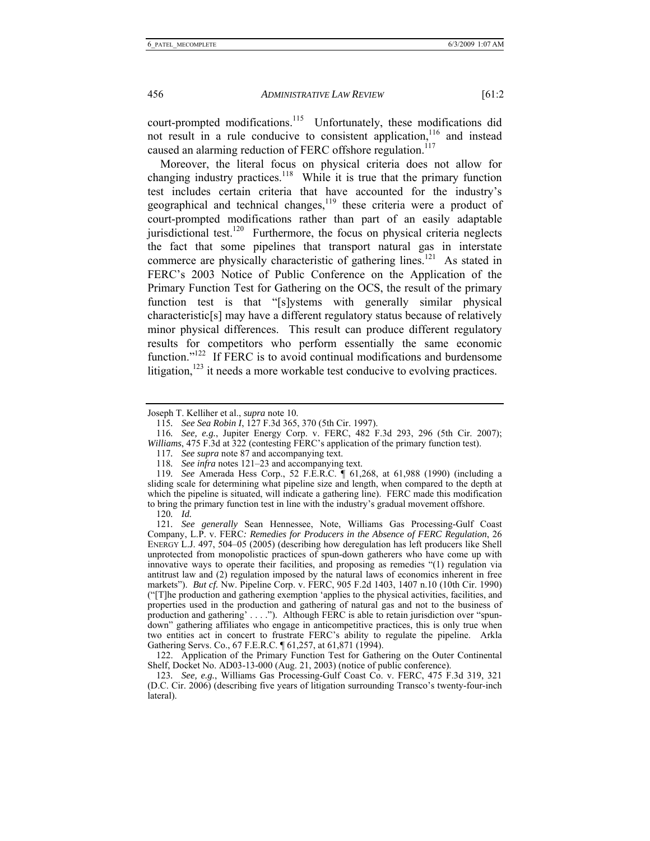court-prompted modifications.115 Unfortunately, these modifications did not result in a rule conducive to consistent application, $\frac{116}{10}$  and instead caused an alarming reduction of FERC offshore regulation.<sup>117</sup>

Moreover, the literal focus on physical criteria does not allow for changing industry practices.<sup>118</sup> While it is true that the primary function test includes certain criteria that have accounted for the industry's geographical and technical changes, $119$  these criteria were a product of court-prompted modifications rather than part of an easily adaptable jurisdictional test.<sup>120</sup> Furthermore, the focus on physical criteria neglects the fact that some pipelines that transport natural gas in interstate commerce are physically characteristic of gathering lines.<sup>121</sup> As stated in FERC's 2003 Notice of Public Conference on the Application of the Primary Function Test for Gathering on the OCS, the result of the primary function test is that "[s]ystems with generally similar physical characteristic[s] may have a different regulatory status because of relatively minor physical differences. This result can produce different regulatory results for competitors who perform essentially the same economic function."<sup>122</sup> If FERC is to avoid continual modifications and burdensome litigation, $123$  it needs a more workable test conducive to evolving practices.

Joseph T. Kelliher et al., *supra* note 10.

<sup>115</sup>*. See Sea Robin I*, 127 F.3d 365, 370 (5th Cir. 1997).

<sup>116</sup>*. See, e.g.*, Jupiter Energy Corp. v. FERC, 482 F.3d 293, 296 (5th Cir. 2007); *Williams*, 475 F.3d at 322 (contesting FERC's application of the primary function test).

<sup>117</sup>*. See supra* note 87 and accompanying text.

<sup>118</sup>*. See infra* notes 121–23 and accompanying text.

<sup>119</sup>*. See* Amerada Hess Corp., 52 F.E.R.C. ¶ 61,268, at 61,988 (1990) (including a sliding scale for determining what pipeline size and length, when compared to the depth at which the pipeline is situated, will indicate a gathering line). FERC made this modification to bring the primary function test in line with the industry's gradual movement offshore.

<sup>120</sup>*. Id.*

<sup>121</sup>*. See generally* Sean Hennessee, Note, Williams Gas Processing-Gulf Coast Company, L.P. v. FERC*: Remedies for Producers in the Absence of FERC Regulation*, 26 ENERGY L.J. 497, 504–05 (2005) (describing how deregulation has left producers like Shell unprotected from monopolistic practices of spun-down gatherers who have come up with innovative ways to operate their facilities, and proposing as remedies "(1) regulation via antitrust law and (2) regulation imposed by the natural laws of economics inherent in free markets"). *But cf.* Nw. Pipeline Corp. v. FERC, 905 F.2d 1403, 1407 n.10 (10th Cir. 1990) ("[T]he production and gathering exemption 'applies to the physical activities, facilities, and properties used in the production and gathering of natural gas and not to the business of production and gathering' . . . ."). Although FERC is able to retain jurisdiction over "spundown" gathering affiliates who engage in anticompetitive practices, this is only true when two entities act in concert to frustrate FERC's ability to regulate the pipeline. Arkla Gathering Servs. Co., 67 F.E.R.C. ¶ 61,257, at 61,871 (1994).

 <sup>122.</sup> Application of the Primary Function Test for Gathering on the Outer Continental Shelf, Docket No. AD03-13-000 (Aug. 21, 2003) (notice of public conference).

<sup>123</sup>*. See, e.g.*, Williams Gas Processing-Gulf Coast Co. v. FERC, 475 F.3d 319, 321 (D.C. Cir. 2006) (describing five years of litigation surrounding Transco's twenty-four-inch lateral).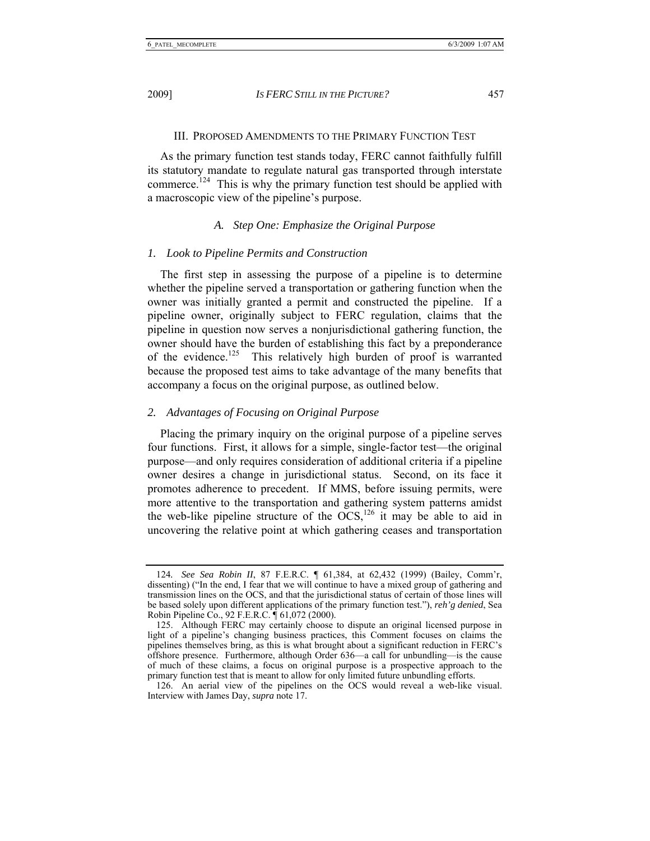# III. PROPOSED AMENDMENTS TO THE PRIMARY FUNCTION TEST

As the primary function test stands today, FERC cannot faithfully fulfill its statutory mandate to regulate natural gas transported through interstate commerce.<sup> $124$ </sup> This is why the primary function test should be applied with a macroscopic view of the pipeline's purpose.

# *A. Step One: Emphasize the Original Purpose*

#### *1. Look to Pipeline Permits and Construction*

The first step in assessing the purpose of a pipeline is to determine whether the pipeline served a transportation or gathering function when the owner was initially granted a permit and constructed the pipeline. If a pipeline owner, originally subject to FERC regulation, claims that the pipeline in question now serves a nonjurisdictional gathering function, the owner should have the burden of establishing this fact by a preponderance of the evidence.<sup>125</sup> This relatively high burden of proof is warranted because the proposed test aims to take advantage of the many benefits that accompany a focus on the original purpose, as outlined below.

#### *2. Advantages of Focusing on Original Purpose*

Placing the primary inquiry on the original purpose of a pipeline serves four functions. First, it allows for a simple, single-factor test—the original purpose—and only requires consideration of additional criteria if a pipeline owner desires a change in jurisdictional status. Second, on its face it promotes adherence to precedent. If MMS, before issuing permits, were more attentive to the transportation and gathering system patterns amidst the web-like pipeline structure of the  $\overline{OCS}$ ,  $^{126}$  it may be able to aid in uncovering the relative point at which gathering ceases and transportation

<sup>124</sup>*. See Sea Robin II*, 87 F.E.R.C. ¶ 61,384, at 62,432 (1999) (Bailey, Comm'r, dissenting) ("In the end, I fear that we will continue to have a mixed group of gathering and transmission lines on the OCS, and that the jurisdictional status of certain of those lines will be based solely upon different applications of the primary function test."), *reh'g denied*, Sea Robin Pipeline Co., 92 F.E.R.C. ¶ 61,072 (2000).

 <sup>125.</sup> Although FERC may certainly choose to dispute an original licensed purpose in light of a pipeline's changing business practices, this Comment focuses on claims the pipelines themselves bring, as this is what brought about a significant reduction in FERC's offshore presence. Furthermore, although Order 636—a call for unbundling—is the cause of much of these claims, a focus on original purpose is a prospective approach to the primary function test that is meant to allow for only limited future unbundling efforts.

 <sup>126.</sup> An aerial view of the pipelines on the OCS would reveal a web-like visual. Interview with James Day, *supra* note 17.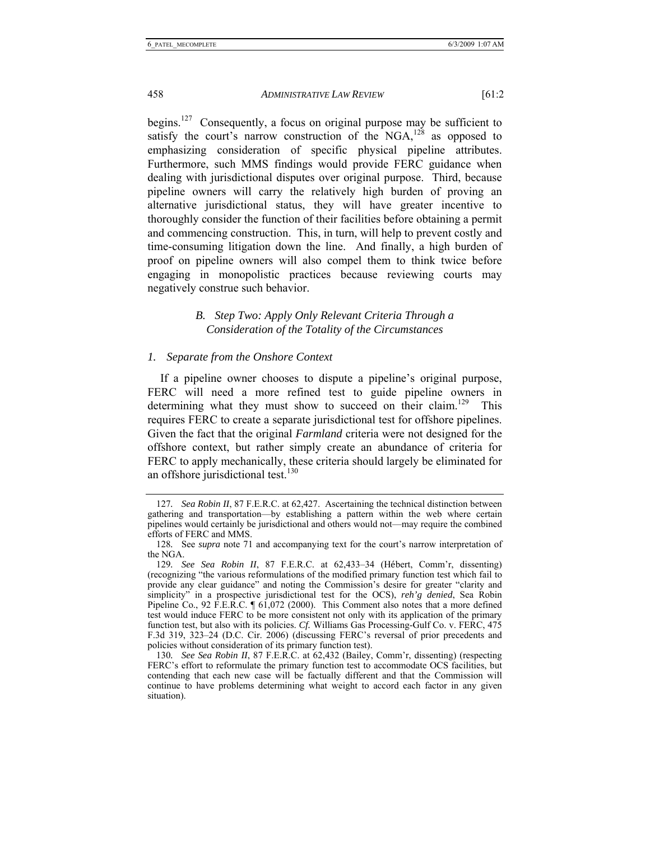begins.<sup>127</sup> Consequently, a focus on original purpose may be sufficient to satisfy the court's narrow construction of the  $NGA$ ,<sup>128</sup> as opposed to emphasizing consideration of specific physical pipeline attributes. Furthermore, such MMS findings would provide FERC guidance when dealing with jurisdictional disputes over original purpose. Third, because pipeline owners will carry the relatively high burden of proving an alternative jurisdictional status, they will have greater incentive to thoroughly consider the function of their facilities before obtaining a permit and commencing construction. This, in turn, will help to prevent costly and time-consuming litigation down the line. And finally, a high burden of proof on pipeline owners will also compel them to think twice before engaging in monopolistic practices because reviewing courts may negatively construe such behavior.

# *B. Step Two: Apply Only Relevant Criteria Through a Consideration of the Totality of the Circumstances*

# *1. Separate from the Onshore Context*

If a pipeline owner chooses to dispute a pipeline's original purpose, FERC will need a more refined test to guide pipeline owners in determining what they must show to succeed on their claim.<sup>129</sup> This requires FERC to create a separate jurisdictional test for offshore pipelines. Given the fact that the original *Farmland* criteria were not designed for the offshore context, but rather simply create an abundance of criteria for FERC to apply mechanically, these criteria should largely be eliminated for an offshore jurisdictional test.<sup>130</sup>

<sup>127</sup>*. Sea Robin II*, 87 F.E.R.C. at 62,427. Ascertaining the technical distinction between gathering and transportation—by establishing a pattern within the web where certain pipelines would certainly be jurisdictional and others would not—may require the combined efforts of FERC and MMS.

<sup>128</sup>*.* See *supra* note 71 and accompanying text for the court's narrow interpretation of the NGA.

<sup>129</sup>*. See Sea Robin II*, 87 F.E.R.C. at 62,433–34 (Hébert, Comm'r, dissenting) (recognizing "the various reformulations of the modified primary function test which fail to provide any clear guidance" and noting the Commission's desire for greater "clarity and simplicity" in a prospective jurisdictional test for the OCS), *reh'g denied*, Sea Robin Pipeline Co., 92 F.E.R.C. ¶ 61,072 (2000). This Comment also notes that a more defined test would induce FERC to be more consistent not only with its application of the primary function test, but also with its policies. *Cf.* Williams Gas Processing-Gulf Co. v. FERC, 475 F.3d 319, 323–24 (D.C. Cir. 2006) (discussing FERC's reversal of prior precedents and policies without consideration of its primary function test).

<sup>130</sup>*. See Sea Robin II*, 87 F.E.R.C. at 62,432 (Bailey, Comm'r, dissenting) (respecting FERC's effort to reformulate the primary function test to accommodate OCS facilities, but contending that each new case will be factually different and that the Commission will continue to have problems determining what weight to accord each factor in any given situation).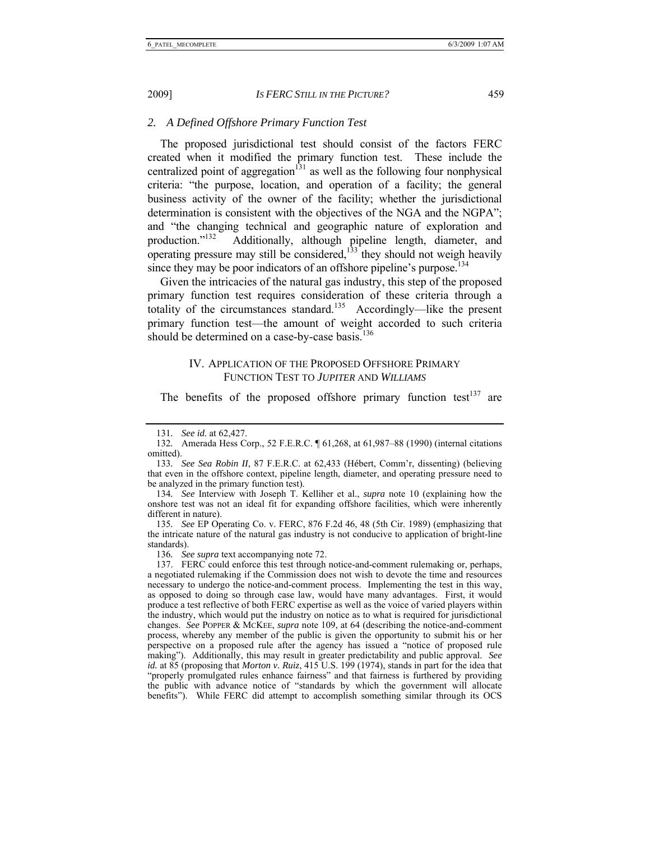# *2. A Defined Offshore Primary Function Test*

The proposed jurisdictional test should consist of the factors FERC created when it modified the primary function test. These include the centralized point of aggregation<sup>131</sup> as well as the following four nonphysical criteria: "the purpose, location, and operation of a facility; the general business activity of the owner of the facility; whether the jurisdictional determination is consistent with the objectives of the NGA and the NGPA": and "the changing technical and geographic nature of exploration and production."132 Additionally, although pipeline length, diameter, and operating pressure may still be considered, $133$  they should not weigh heavily since they may be poor indicators of an offshore pipeline's purpose.<sup>134</sup>

Given the intricacies of the natural gas industry, this step of the proposed primary function test requires consideration of these criteria through a totality of the circumstances standard.135 Accordingly—like the present primary function test—the amount of weight accorded to such criteria should be determined on a case-by-case basis.<sup>136</sup>

# IV. APPLICATION OF THE PROPOSED OFFSHORE PRIMARY FUNCTION TEST TO *JUPITER* AND *WILLIAMS*

The benefits of the proposed offshore primary function test<sup>137</sup> are

135*. See* EP Operating Co. v. FERC, 876 F.2d 46, 48 (5th Cir. 1989) (emphasizing that the intricate nature of the natural gas industry is not conducive to application of bright-line standards).

136*. See supra* text accompanying note 72.

 137. FERC could enforce this test through notice-and-comment rulemaking or, perhaps, a negotiated rulemaking if the Commission does not wish to devote the time and resources necessary to undergo the notice-and-comment process. Implementing the test in this way, as opposed to doing so through case law, would have many advantages. First, it would produce a test reflective of both FERC expertise as well as the voice of varied players within the industry, which would put the industry on notice as to what is required for jurisdictional changes. *See* POPPER & MCKEE, *supra* note 109, at 64 (describing the notice-and-comment process, whereby any member of the public is given the opportunity to submit his or her perspective on a proposed rule after the agency has issued a "notice of proposed rule making"). Additionally, this may result in greater predictability and public approval. *See id.* at 85 (proposing that *Morton v. Ruiz*, 415 U.S. 199 (1974), stands in part for the idea that "properly promulgated rules enhance fairness" and that fairness is furthered by providing the public with advance notice of "standards by which the government will allocate benefits"). While FERC did attempt to accomplish something similar through its OCS

<sup>131</sup>*. See id.* at 62,427.

<sup>132</sup>*.* Amerada Hess Corp., 52 F.E.R.C. ¶ 61,268, at 61,987–88 (1990) (internal citations omitted).

<sup>133</sup>*. See Sea Robin II*, 87 F.E.R.C. at 62,433 (Hébert, Comm'r, dissenting) (believing that even in the offshore context, pipeline length, diameter, and operating pressure need to be analyzed in the primary function test).

<sup>134</sup>*. See* Interview with Joseph T. Kelliher et al., *supra* note 10 (explaining how the onshore test was not an ideal fit for expanding offshore facilities, which were inherently different in nature).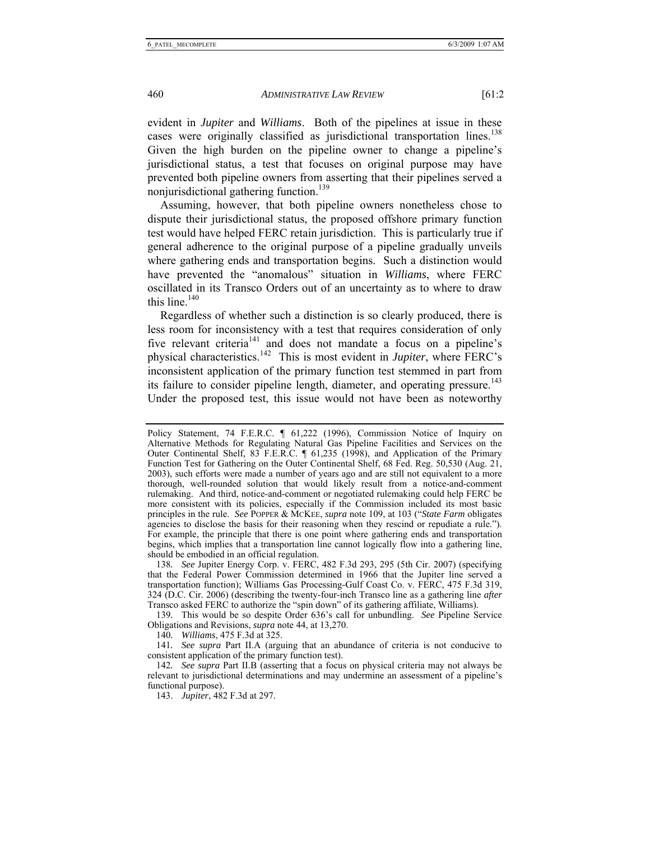evident in *Jupiter* and *Williams*. Both of the pipelines at issue in these cases were originally classified as jurisdictional transportation lines.<sup>138</sup> Given the high burden on the pipeline owner to change a pipeline's jurisdictional status, a test that focuses on original purpose may have prevented both pipeline owners from asserting that their pipelines served a nonjurisdictional gathering function.<sup>139</sup>

Assuming, however, that both pipeline owners nonetheless chose to dispute their jurisdictional status, the proposed offshore primary function test would have helped FERC retain jurisdiction. This is particularly true if general adherence to the original purpose of a pipeline gradually unveils where gathering ends and transportation begins. Such a distinction would have prevented the "anomalous" situation in *Williams*, where FERC oscillated in its Transco Orders out of an uncertainty as to where to draw this line. $140$ 

Regardless of whether such a distinction is so clearly produced, there is less room for inconsistency with a test that requires consideration of only five relevant criteria<sup>141</sup> and does not mandate a focus on a pipeline's physical characteristics.142 This is most evident in *Jupiter*, where FERC's inconsistent application of the primary function test stemmed in part from its failure to consider pipeline length, diameter, and operating pressure.<sup>143</sup> Under the proposed test, this issue would not have been as noteworthy

138*. See* Jupiter Energy Corp. v. FERC, 482 F.3d 293, 295 (5th Cir. 2007) (specifying that the Federal Power Commission determined in 1966 that the Jupiter line served a transportation function); Williams Gas Processing-Gulf Coast Co. v. FERC, 475 F.3d 319, 324 (D.C. Cir. 2006) (describing the twenty-four-inch Transco line as a gathering line *after* Transco asked FERC to authorize the "spin down" of its gathering affiliate, Williams).

139*.* This would be so despite Order 636's call for unbundling. *See* Pipeline Service Obligations and Revisions, *supra* note 44, at 13,270.

140*. Williams*, 475 F.3d at 325.

141*. See supra* Part II.A (arguing that an abundance of criteria is not conducive to consistent application of the primary function test).

142*. See supra* Part II.B (asserting that a focus on physical criteria may not always be relevant to jurisdictional determinations and may undermine an assessment of a pipeline's functional purpose).

143. *Jupiter*, 482 F.3d at 297.

Policy Statement, 74 F.E.R.C. ¶ 61,222 (1996), Commission Notice of Inquiry on Alternative Methods for Regulating Natural Gas Pipeline Facilities and Services on the Outer Continental Shelf, 83 F.E.R.C. ¶ 61,235 (1998), and Application of the Primary Function Test for Gathering on the Outer Continental Shelf, 68 Fed. Reg. 50,530 (Aug. 21, 2003), such efforts were made a number of years ago and are still not equivalent to a more thorough, well-rounded solution that would likely result from a notice-and-comment rulemaking. And third, notice-and-comment or negotiated rulemaking could help FERC be more consistent with its policies, especially if the Commission included its most basic principles in the rule. *See* POPPER & MCKEE, *supra* note 109, at 103 ("*State Farm* obligates agencies to disclose the basis for their reasoning when they rescind or repudiate a rule."). For example, the principle that there is one point where gathering ends and transportation begins, which implies that a transportation line cannot logically flow into a gathering line, should be embodied in an official regulation.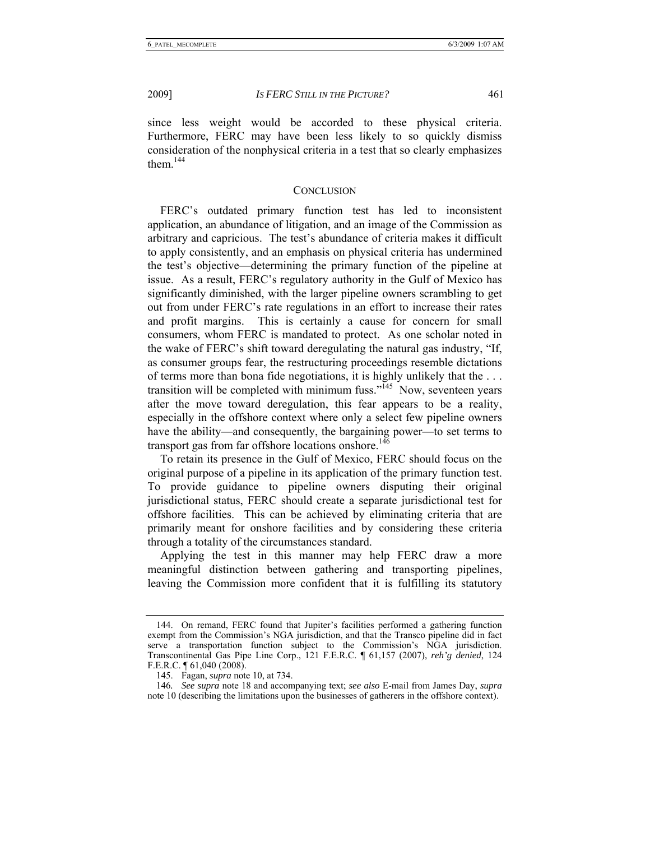since less weight would be accorded to these physical criteria. Furthermore, FERC may have been less likely to so quickly dismiss consideration of the nonphysical criteria in a test that so clearly emphasizes them $144$ 

# **CONCLUSION**

FERC's outdated primary function test has led to inconsistent application, an abundance of litigation, and an image of the Commission as arbitrary and capricious. The test's abundance of criteria makes it difficult to apply consistently, and an emphasis on physical criteria has undermined the test's objective—determining the primary function of the pipeline at issue. As a result, FERC's regulatory authority in the Gulf of Mexico has significantly diminished, with the larger pipeline owners scrambling to get out from under FERC's rate regulations in an effort to increase their rates and profit margins. This is certainly a cause for concern for small consumers, whom FERC is mandated to protect. As one scholar noted in the wake of FERC's shift toward deregulating the natural gas industry, "If, as consumer groups fear, the restructuring proceedings resemble dictations of terms more than bona fide negotiations, it is highly unlikely that the . . . transition will be completed with minimum fuss."<sup>145</sup> Now, seventeen years after the move toward deregulation, this fear appears to be a reality, especially in the offshore context where only a select few pipeline owners have the ability—and consequently, the bargaining power—to set terms to transport gas from far offshore locations onshore.<sup>146</sup>

To retain its presence in the Gulf of Mexico, FERC should focus on the original purpose of a pipeline in its application of the primary function test. To provide guidance to pipeline owners disputing their original jurisdictional status, FERC should create a separate jurisdictional test for offshore facilities. This can be achieved by eliminating criteria that are primarily meant for onshore facilities and by considering these criteria through a totality of the circumstances standard.

Applying the test in this manner may help FERC draw a more meaningful distinction between gathering and transporting pipelines, leaving the Commission more confident that it is fulfilling its statutory

 <sup>144.</sup> On remand, FERC found that Jupiter's facilities performed a gathering function exempt from the Commission's NGA jurisdiction, and that the Transco pipeline did in fact serve a transportation function subject to the Commission's NGA jurisdiction. Transcontinental Gas Pipe Line Corp., 121 F.E.R.C. ¶ 61,157 (2007), *reh'g denied*, 124 F.E.R.C. ¶ 61,040 (2008).

 <sup>145.</sup> Fagan, *supra* note 10, at 734.

<sup>146</sup>*. See supra* note 18 and accompanying text; *see also* E-mail from James Day, *supra* note 10 (describing the limitations upon the businesses of gatherers in the offshore context).